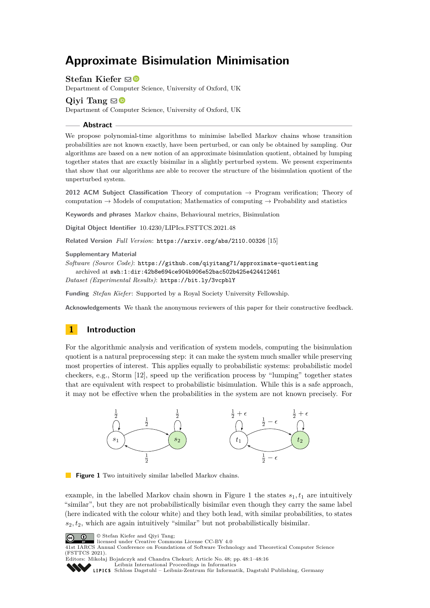# **Approximate Bisimulation Minimisation**

**Stefan Kiefer**  $\boxtimes$ 

Department of Computer Science, University of Oxford, UK

## **Qivi Tang**  $\odot$

Department of Computer Science, University of Oxford, UK

**Abstract**

We propose polynomial-time algorithms to minimise labelled Markov chains whose transition probabilities are not known exactly, have been perturbed, or can only be obtained by sampling. Our algorithms are based on a new notion of an approximate bisimulation quotient, obtained by lumping together states that are exactly bisimilar in a slightly perturbed system. We present experiments that show that our algorithms are able to recover the structure of the bisimulation quotient of the unperturbed system.

**2012 ACM Subject Classification** Theory of computation → Program verification; Theory of computation  $\rightarrow$  Models of computation; Mathematics of computing  $\rightarrow$  Probability and statistics

**Keywords and phrases** Markov chains, Behavioural metrics, Bisimulation

**Digital Object Identifier** [10.4230/LIPIcs.FSTTCS.2021.48](https://doi.org/10.4230/LIPIcs.FSTTCS.2021.48)

**Related Version** *Full Version*: <https://arxiv.org/abs/2110.00326> [\[15\]](#page-14-0)

#### **Supplementary Material**

```
Software (Source Code): https://github.com/qiyitang71/approximate-quotienting
archived at swh:1:dir:42b8e694ce904b906e52bac502b425e424412461
```
*Dataset (Experimental Results)*: <https://bit.ly/3vcpblY>

**Funding** *Stefan Kiefer*: Supported by a Royal Society University Fellowship.

**Acknowledgements** We thank the anonymous reviewers of this paper for their constructive feedback.

# **1 Introduction**

For the algorithmic analysis and verification of system models, computing the bisimulation quotient is a natural preprocessing step: it can make the system much smaller while preserving most properties of interest. This applies equally to probabilistic systems: probabilistic model checkers, e.g., Storm [\[12\]](#page-14-1), speed up the verification process by "lumping" together states that are equivalent with respect to probabilistic bisimulation. While this is a safe approach, it may not be effective when the probabilities in the system are not known precisely. For

<span id="page-0-0"></span>

**Figure 1** Two intuitively similar labelled Markov chains.

example, in the labelled Markov chain shown in Figure [1](#page-0-0) the states  $s_1, t_1$  are intuitively "similar", but they are not probabilistically bisimilar even though they carry the same label (here indicated with the colour white) and they both lead, with similar probabilities, to states  $s_2, t_2$ , which are again intuitively "similar" but not probabilistically bisimilar.

© Stefan Kiefer and Qiyi Tang;  $\boxed{6}$  0



41st IARCS Annual Conference on Foundations of Software Technology and Theoretical Computer Science (FSTTCS 2021). Editors: Mikołaj Bojańczyk and Chandra Chekuri; Article No. 48; pp. 48:1–48:16



[Leibniz International Proceedings in Informatics](https://www.dagstuhl.de/lipics/)

[Schloss Dagstuhl – Leibniz-Zentrum für Informatik, Dagstuhl Publishing, Germany](https://www.dagstuhl.de)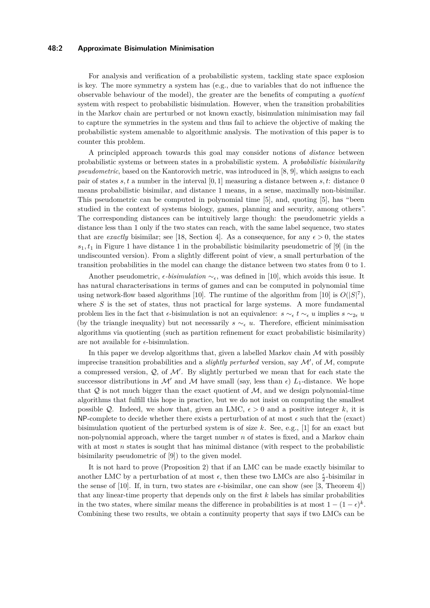#### **48:2 Approximate Bisimulation Minimisation**

For analysis and verification of a probabilistic system, tackling state space explosion is key. The more symmetry a system has  $(e.g., due to variables that do not influence the$ observable behaviour of the model), the greater are the benefits of computing a *quotient* system with respect to probabilistic bisimulation. However, when the transition probabilities in the Markov chain are perturbed or not known exactly, bisimulation minimisation may fail to capture the symmetries in the system and thus fail to achieve the objective of making the probabilistic system amenable to algorithmic analysis. The motivation of this paper is to counter this problem.

A principled approach towards this goal may consider notions of *distance* between probabilistic systems or between states in a probabilistic system. A *probabilistic bisimilarity pseudometric*, based on the Kantorovich metric, was introduced in [\[8,](#page-14-2) [9\]](#page-14-3), which assigns to each pair of states *s, t* a number in the interval [0*,* 1] measuring a distance between *s, t*: distance 0 means probabilistic bisimilar, and distance 1 means, in a sense, maximally non-bisimilar. This pseudometric can be computed in polynomial time [\[5\]](#page-14-4), and, quoting [\[5\]](#page-14-4), has "been studied in the context of systems biology, games, planning and security, among others". The corresponding distances can be intuitively large though: the pseudometric yields a distance less than 1 only if the two states can reach, with the same label sequence, two states that are *exactly* bisimilar; see [\[18,](#page-15-0) Section 4]. As a consequence, for any  $\epsilon > 0$ , the states  $s_1, t_1$  in Figure [1](#page-0-0) have distance 1 in the probabilistic bisimilarity pseudometric of [\[9\]](#page-14-3) (in the undiscounted version). From a slightly different point of view, a small perturbation of the transition probabilities in the model can change the distance between two states from 0 to 1.

Another pseudometric, *ϵ-bisimulation* ∼*ϵ*, was defined in [\[10\]](#page-14-5), which avoids this issue. It has natural characterisations in terms of games and can be computed in polynomial time using network-flow based algorithms [\[10\]](#page-14-5). The runtime of the algorithm from [10] is  $O(|S|^7)$ , where *S* is the set of states, thus not practical for large systems. A more fundamental problem lies in the fact that  $\epsilon$ -bisimulation is not an equivalence:  $s \sim_{\epsilon} t \sim_{\epsilon} u$  implies  $s \sim_{2\epsilon} u$ (by the triangle inequality) but not necessarily  $s \sim_{\epsilon} u$ . Therefore, efficient minimisation algorithms via quotienting (such as partition refinement for exact probabilistic bisimilarity) are not available for  $\epsilon$ -bisimulation.

In this paper we develop algorithms that, given a labelled Markov chain  $\mathcal M$  with possibly imprecise transition probabilities and a *slightly perturbed* version, say  $\mathcal{M}'$ , of  $\mathcal{M}$ , compute a compressed version,  $Q$ , of  $M'$ . By slightly perturbed we mean that for each state the successor distributions in  $\mathcal{M}'$  and  $\mathcal{M}$  have small (say, less than  $\epsilon$ )  $L_1$ -distance. We hope that  $Q$  is not much bigger than the exact quotient of  $M$ , and we design polynomial-time algorithms that fulfill this hope in practice, but we do not insist on computing the smallest possible Q. Indeed, we show that, given an LMC,  $\epsilon > 0$  and a positive integer k, it is NP-complete to decide whether there exists a perturbation of at most  $\epsilon$  such that the (exact) bisimulation quotient of the perturbed system is of size *k*. See, e.g., [\[1\]](#page-14-6) for an exact but non-polynomial approach, where the target number *n* of states is fixed, and a Markov chain with at most *n* states is sought that has minimal distance (with respect to the probabilistic bisimilarity pseudometric of [\[9\]](#page-14-3)) to the given model.

It is not hard to prove (Proposition [2\)](#page-4-0) that if an LMC can be made exactly bisimilar to another LMC by a perturbation of at most  $\epsilon$ , then these two LMCs are also  $\frac{\epsilon}{2}$ -bisimilar in the sense of [\[10\]](#page-14-5). If, in turn, two states are  $\epsilon$ -bisimilar, one can show (see [\[3,](#page-14-7) Theorem 4]) that any linear-time property that depends only on the first *k* labels has similar probabilities in the two states, where similar means the difference in probabilities is at most  $1 - (1 - \epsilon)^k$ . Combining these two results, we obtain a continuity property that says if two LMCs can be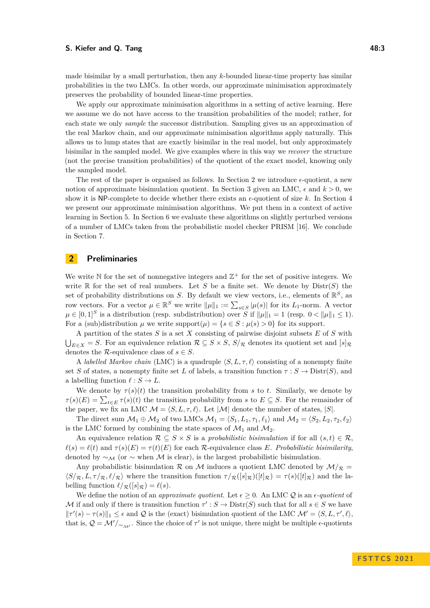#### **S.** Kiefer and Q. Tang **18:3** 48:3

made bisimilar by a small perturbation, then any *k*-bounded linear-time property has similar probabilities in the two LMCs. In other words, our approximate minimisation approximately preserves the probability of bounded linear-time properties.

We apply our approximate minimisation algorithms in a setting of active learning. Here we assume we do not have access to the transition probabilities of the model; rather, for each state we only *sample* the successor distribution. Sampling gives us an approximation of the real Markov chain, and our approximate minimisation algorithms apply naturally. This allows us to lump states that are exactly bisimilar in the real model, but only approximately bisimilar in the sampled model. We give examples where in this way we *recover* the structure (not the precise transition probabilities) of the quotient of the exact model, knowing only the sampled model.

The rest of the paper is organised as follows. In Section [2](#page-2-0) we introduce *ϵ*-quotient, a new notion of approximate bisimulation quotient. In Section [3](#page-3-0) given an LMC,  $\epsilon$  and  $k > 0$ , we show it is NP-complete to decide whether there exists an  $\epsilon$ -quotient of size k. In Section [4](#page-5-0) we present our approximate minimisation algorithms. We put them in a context of active learning in Section [5.](#page-10-0) In Section [6](#page-11-0) we evaluate these algorithms on slightly perturbed versions of a number of LMCs taken from the probabilistic model checker PRISM [\[16\]](#page-15-1). We conclude in Section [7.](#page-13-0)

## <span id="page-2-0"></span>**2 Preliminaries**

We write  $\mathbb N$  for the set of nonnegative integers and  $\mathbb Z^+$  for the set of positive integers. We write  $\mathbb R$  for the set of real numbers. Let *S* be a finite set. We denote by  $Dist(S)$  the set of probability distributions on *S*. By default we view vectors, i.e., elements of  $\mathbb{R}^S$ , as row vectors. For a vector  $\mu \in \mathbb{R}^S$  we write  $\|\mu\|_1 := \sum_{s \in S} |\mu(s)|$  for its  $L_1$ -norm. A vector  $\mu \in [0,1]^S$  is a distribution (resp. subdistribution) over *S* if  $\|\mu\|_1 = 1$  (resp.  $0 < \|\mu\|_1 \leq 1$ ). For a (sub)distribution  $\mu$  we write support $(\mu) = \{s \in S : \mu(s) > 0\}$  for its support.

A partition of the states *S* is a set *X* consisting of pairwise disjoint subsets *E* of *S* with  $\bigcup_{E \in X}$  = *S*. For an equivalence relation  $\mathcal{R} \subseteq S \times S$ ,  $S/\mathcal{R}$  denotes its quotient set and  $[s]_{\mathcal{R}}$ denotes the R-equivalence class of  $s \in S$ .

A *labelled Markov chain* (LMC) is a quadruple  $\langle S, L, \tau, \ell \rangle$  consisting of a nonempty finite set *S* of states, a nonempty finite set *L* of labels, a transition function  $\tau : S \to \text{Distr}(S)$ , and a labelling function  $\ell : S \to L$ .

We denote by  $\tau(s)(t)$  the transition probability from *s* to *t*. Similarly, we denote by  $\tau(s)(E) = \sum_{t \in E} \tau(s)(t)$  the transition probability from *s* to  $E \subseteq S$ . For the remainder of the paper, we fix an LMC  $\mathcal{M} = \langle S, L, \tau, \ell \rangle$ . Let  $|\mathcal{M}|$  denote the number of states,  $|S|$ .

The direct sum  $\mathcal{M}_1 \oplus \mathcal{M}_2$  of two LMCs  $\mathcal{M}_1 = \langle S_1, L_1, \tau_1, \ell_1 \rangle$  and  $\mathcal{M}_2 = \langle S_2, L_2, \tau_2, \ell_2 \rangle$ is the LMC formed by combining the state spaces of  $\mathcal{M}_1$  and  $\mathcal{M}_2$ .

An equivalence relation  $\mathcal{R} \subseteq S \times S$  is a *probabilistic bisimulation* if for all  $(s,t) \in \mathcal{R}$ .  $\ell(s) = \ell(t)$  and  $\tau(s)(E) = \tau(t)(E)$  for each R-equivalence class *E*. Probabilistic bisimilarity, denoted by  $\sim_{\mathcal{M}}$  (or  $\sim$  when  $\mathcal M$  is clear), is the largest probabilistic bisimulation.

Any probabilistic bisimulation R on M induces a quotient LMC denoted by  $\mathcal{M}/\mathcal{R}$  =  $\langle S/\mathcal{R}, L, \tau/\mathcal{R}, \ell/\mathcal{R} \rangle$  where the transition function  $\tau/\mathcal{R}([s]\mathcal{R})([t]\mathcal{R}) = \tau(s)([t]\mathcal{R})$  and the labelling function  $\ell/\mathcal{R}(|s|\mathcal{R}) = \ell(s)$ .

We define the notion of an *approximate quotient*. Let  $\epsilon \geq 0$ . An LMC Q is an  $\epsilon$ -quotient of M if and only if there is transition function  $\tau' : S \to \text{Distr}(S)$  such that for all  $s \in S$  we have  $\|\tau'(s) - \tau(s)\|_1 \leq \epsilon$  and Q is the (exact) bisimulation quotient of the LMC  $\mathcal{M}' = \langle S, L, \tau', \ell \rangle$ , that is,  $Q = \mathcal{M}'/\sim_{\mathcal{M}'}$ . Since the choice of  $\tau'$  is not unique, there might be multiple  $\epsilon$ -quotients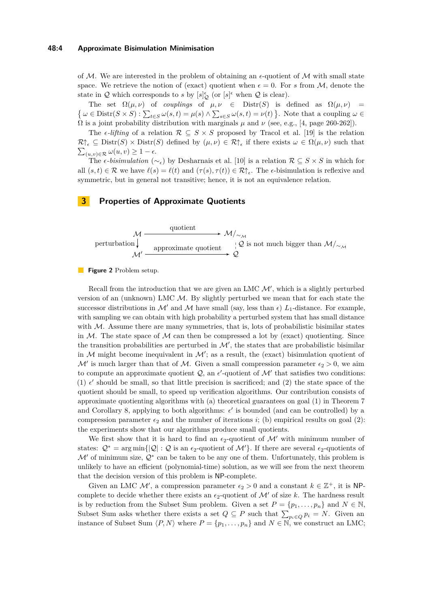#### **48:4 Approximate Bisimulation Minimisation**

of M. We are interested in the problem of obtaining an  $\epsilon$ -quotient of M with small state space. We retrieve the notion of (exact) quotient when  $\epsilon = 0$ . For *s* from M, denote the state in Q which corresponds to *s* by  $[s]_{\mathcal{Q}}^{\epsilon}$  (or  $[s]^{\epsilon}$  when Q is clear).

The set  $\Omega(\mu, \nu)$  of *couplings* of  $\mu, \nu \in$  Distr(*S*) is defined as  $\Omega(\mu, \nu)$  =  $\{\omega \in \text{Distr}(S \times S) : \sum_{t \in S} \omega(s, t) = \mu(s) \wedge \sum_{s \in S} \omega(s, t) = \nu(t)\}.$  Note that a coupling  $\omega \in S$  $\Omega$  is a joint probability distribution with marginals  $\mu$  and  $\nu$  (see, e.g., [\[4,](#page-14-8) page 260-262]).

The  $\epsilon$ -lifting of a relation  $\mathcal{R} \subseteq S \times S$  proposed by Tracol et al. [\[19\]](#page-15-2) is the relation  $\mathcal{R}\uparrow_{\epsilon} \subseteq \text{Distr}(S) \times \text{Distr}(S)$  defined by  $(\mu, \nu) \in \mathcal{R}\uparrow_{\epsilon}$  if there exists  $\omega \in \Omega(\mu, \nu)$  such that  $\sum_{(u,v)\in\mathcal{R}}\omega(u,v)\geq 1-\epsilon.$ 

The  $\epsilon$ *-bisimulation* ( $\sim_{\epsilon}$ ) by Desharnais et al. [\[10\]](#page-14-5) is a relation  $\mathcal{R} \subseteq S \times S$  in which for all  $(s, t) \in \mathcal{R}$  we have  $\ell(s) = \ell(t)$  and  $(\tau(s), \tau(t)) \in \mathcal{R} \uparrow_{\epsilon}$ . The  $\epsilon$ -bisimulation is reflexive and symmetric, but in general not transitive; hence, it is not an equivalence relation.

# <span id="page-3-0"></span>**3 Properties of Approximate Quotients**



#### **Figure 2** Problem setup.

Recall from the introduction that we are given an LMC  $\mathcal{M}'$ , which is a slightly perturbed version of an (unknown) LMC  $M$ . By slightly perturbed we mean that for each state the successor distributions in M' and M have small (say, less than  $\epsilon$ )  $L_1$ -distance. For example, with sampling we can obtain with high probability a perturbed system that has small distance with  $M$ . Assume there are many symmetries, that is, lots of probabilistic bisimilar states in  $M$ . The state space of  $M$  can then be compressed a lot by (exact) quotienting. Since the transition probabilities are perturbed in  $\mathcal{M}'$ , the states that are probabilistic bisimilar in  $M$  might become inequivalent in  $M'$ ; as a result, the (exact) bisimulation quotient of  $\mathcal{M}'$  is much larger than that of  $\mathcal{M}$ . Given a small compression parameter  $\epsilon_2 > 0$ , we aim to compute an approximate quotient  $Q$ , an  $\epsilon'$ -quotient of  $\mathcal{M}'$  that satisfies two conditions: (1)  $\epsilon'$  should be small, so that little precision is sacrificed; and (2) the state space of the quotient should be small, to speed up verification algorithms. Our contribution consists of approximate quotienting algorithms with (a) theoretical guarantees on goal (1) in Theorem [7](#page-10-1) and Corollary [8,](#page-10-2) applying to both algorithms:  $\epsilon'$  is bounded (and can be controlled) by a compression parameter  $\epsilon_2$  and the number of iterations *i*; (b) empirical results on goal (2): the experiments show that our algorithms produce small quotients.

We first show that it is hard to find an  $\epsilon_2$ -quotient of  $\mathcal{M}'$  with minimum number of states:  $\mathcal{Q}^* = \arg \min \{|\mathcal{Q}| : \mathcal{Q}$  is an  $\epsilon_2$ -quotient of  $\mathcal{M}'$ }. If there are several  $\epsilon_2$ -quotients of  $\mathcal{M}'$  of minimum size,  $\mathcal{Q}^*$  can be taken to be any one of them. Unfortunately, this problem is unlikely to have an efficient (polynomial-time) solution, as we will see from the next theorem that the decision version of this problem is NP-complete.

Given an LMC  $\mathcal{M}'$ , a compression parameter  $\epsilon_2 > 0$  and a constant  $k \in \mathbb{Z}^+$ , it is NPcomplete to decide whether there exists an  $\epsilon_2$ -quotient of  $\mathcal{M}'$  of size k. The hardness result is by reduction from the Subset Sum problem. Given a set  $P = \{p_1, \ldots, p_n\}$  and  $N \in \mathbb{N}$ , Subset Sum asks whether there exists a set  $Q \subseteq P$  such that  $\sum_{p_i \in Q} p_i = N$ . Given an instance of Subset Sum  $\langle P, N \rangle$  where  $P = \{p_1, \ldots, p_n\}$  and  $N \in \mathbb{N}$ , we construct an LMC;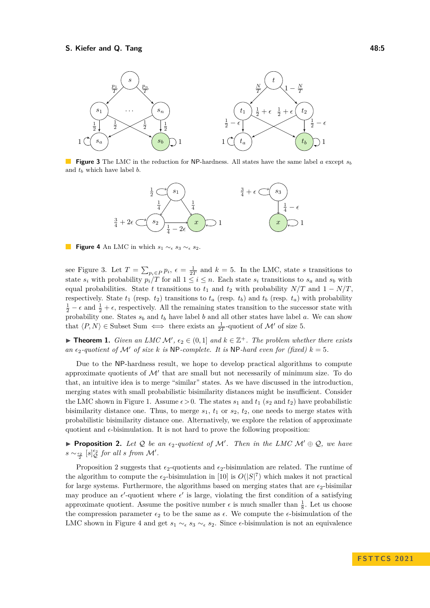#### **S.** Kiefer and Q. Tang **18:5** and 18:5

<span id="page-4-1"></span>

<span id="page-4-2"></span>**Figure 3** The LMC in the reduction for NP-hardness. All states have the same label *a* except *s<sup>b</sup>* and *t<sup>b</sup>* which have label *b*.



**Figure 4** An LMC in which  $s_1 \sim_{\epsilon} s_3 \sim_{\epsilon} s_2$ .

see Figure [3.](#page-4-1) Let  $T = \sum_{p_i \in P} p_i$ ,  $\epsilon = \frac{1}{2T}$  and  $k = 5$ . In the LMC, state *s* transitions to state  $s_i$  with probability  $p_i/T$  for all  $1 \leq i \leq n$ . Each state  $s_i$  transitions to  $s_a$  and  $s_b$  with equal probabilities. State *t* transitions to  $t_1$  and  $t_2$  with probability  $N/T$  and  $1 - N/T$ , respectively. State  $t_1$  (resp.  $t_2$ ) transitions to  $t_a$  (resp.  $t_b$ ) and  $t_b$  (resp.  $t_a$ ) with probability  $\frac{1}{2} - \epsilon$  and  $\frac{1}{2} + \epsilon$ , respectively. All the remaining states transition to the successor state with probability one. States *s<sup>b</sup>* and *t<sup>b</sup>* have label *b* and all other states have label *a*. We can show that  $\langle P, N \rangle \in$  Subset Sum  $\iff$  there exists an  $\frac{1}{2T}$ -quotient of M' of size 5.

▶ **Theorem 1.** *Given an LMC*  $\mathcal{M}'$ ,  $\epsilon_2 \in (0,1]$  *and*  $k \in \mathbb{Z}^+$ *. The problem whether there exists an*  $\epsilon_2$ -quotient of M' of size k is NP-complete. It is NP-hard even for (fixed)  $k = 5$ .

Due to the NP-hardness result, we hope to develop practical algorithms to compute approximate quotients of  $\mathcal{M}'$  that are small but not necessarily of minimum size. To do that, an intuitive idea is to merge "similar" states. As we have discussed in the introduction, merging states with small probabilistic bisimilarity distances might be insufficient. Consider the LMC shown in Figure [1.](#page-0-0) Assume  $\epsilon > 0$ . The states  $s_1$  and  $t_1$  ( $s_2$  and  $t_2$ ) have probabilistic bisimilarity distance one. Thus, to merge  $s_1$ ,  $t_1$  or  $s_2$ ,  $t_2$ , one needs to merge states with probabilistic bisimilarity distance one. Alternatively, we explore the relation of approximate quotient and  $\epsilon$ -bisimulation. It is not hard to prove the following proposition:

<span id="page-4-0"></span>▶ **Proposition 2.** *Let* Q *be an ϵ*2*-quotient of* M′ *. Then in the LMC* M′ ⊕ Q*, we have*  $s \sim \frac{\epsilon_2}{2}$  [*s*] $\frac{\epsilon_2}{Q}$  *for all s from M'*.

Proposition [2](#page-4-0) suggests that  $\epsilon_2$ -quotients and  $\epsilon_2$ -bisimulation are related. The runtime of the algorithm to compute the  $\epsilon_2$ -bisimulation in [\[10\]](#page-14-5) is  $O(|S|^7)$  which makes it not practical for large systems. Furthermore, the algorithms based on merging states that are  $\epsilon_2$ -bisimilar may produce an  $\epsilon'$ -quotient where  $\epsilon'$  is large, violating the first condition of a satisfying approximate quotient. Assume the positive number  $\epsilon$  is much smaller than  $\frac{1}{8}$ . Let us choose the compression parameter *ϵ*<sup>2</sup> to be the same as *ϵ*. We compute the *ϵ*-bisimulation of the LMC shown in Figure [4](#page-4-2) and get  $s_1 \sim_{\epsilon} s_3 \sim_{\epsilon} s_2$ . Since  $\epsilon$ -bisimulation is not an equivalence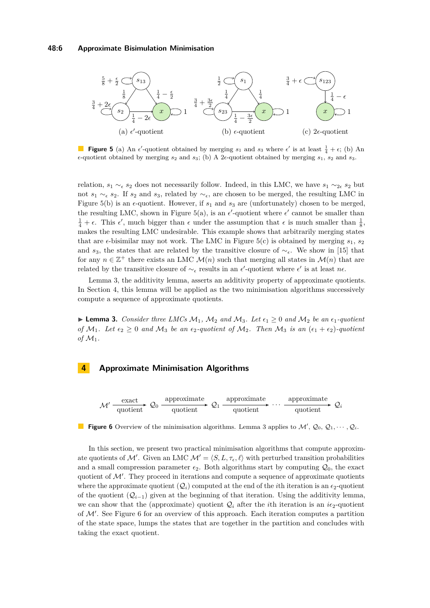#### **48:6 Approximate Bisimulation Minimisation**

<span id="page-5-1"></span>

**Figure 5** (a) An  $\epsilon'$ -quotient obtained by merging  $s_1$  and  $s_3$  where  $\epsilon'$  is at least  $\frac{1}{4} + \epsilon$ ; (b) An  $\epsilon$ -quotient obtained by merging  $s_2$  and  $s_3$ ; (b) A 2 $\epsilon$ -quotient obtained by merging  $s_1$ ,  $s_2$  and  $s_3$ .

relation,  $s_1 \sim_{\epsilon} s_2$  does not necessarily follow. Indeed, in this LMC, we have  $s_1 \sim_{2\epsilon} s_2$  but not  $s_1 \sim_{\epsilon} s_2$ . If  $s_2$  and  $s_3$ , related by  $\sim_{\epsilon}$ , are chosen to be merged, the resulting LMC in Figure [5\(](#page-5-1)b) is an  $\epsilon$ -quotient. However, if  $s_1$  and  $s_3$  are (unfortunately) chosen to be merged, the resulting LMC, shown in Figure [5\(](#page-5-1)a), is an  $\epsilon'$ -quotient where  $\epsilon'$  cannot be smaller than  $\frac{1}{4} + \epsilon$ . This  $\epsilon'$ , much bigger than  $\epsilon$  under the assumption that  $\epsilon$  is much smaller than  $\frac{1}{8}$ , makes the resulting LMC undesirable. This example shows that arbitrarily merging states that are  $\epsilon$ -bisimilar may not work. The LMC in Figure [5\(](#page-5-1)c) is obtained by merging  $s_1$ ,  $s_2$ and *s*3, the states that are related by the transitive closure of ∼*ϵ*. We show in [\[15\]](#page-14-0) that for any  $n \in \mathbb{Z}^+$  there exists an LMC  $\mathcal{M}(n)$  such that merging all states in  $\mathcal{M}(n)$  that are related by the transitive closure of  $\sim_{\epsilon}$  results in an  $\epsilon'$ -quotient where  $\epsilon'$  is at least  $n\epsilon$ .

Lemma [3,](#page-5-2) the additivity lemma, asserts an additivity property of approximate quotients. In Section [4,](#page-5-0) this lemma will be applied as the two minimisation algorithms successively compute a sequence of approximate quotients.

<span id="page-5-2"></span>▶ **Lemma 3.** *Consider three LMCs*  $M_1$ ,  $M_2$  *and*  $M_3$ *. Let*  $\epsilon_1 \geq 0$  *and*  $M_2$  *be an*  $\epsilon_1$ *-quotient of*  $M_1$ *. Let*  $\epsilon_2 \geq 0$  *and*  $M_3$  *be an*  $\epsilon_2$ *-quotient of*  $M_2$ *. Then*  $M_3$  *is an*  $(\epsilon_1 + \epsilon_2)$ *-quotient of*  $\mathcal{M}_1$ *.* 

## <span id="page-5-0"></span>**4 Approximate Minimisation Algorithms**

<span id="page-5-3"></span>

**Figure 6** Overview of the minimisation algorithms. Lemma [3](#page-5-2) applies to  $\mathcal{M}'$ ,  $\mathcal{Q}_0$ ,  $\mathcal{Q}_1$ ,  $\cdots$ ,  $\mathcal{Q}_i$ .

In this section, we present two practical minimisation algorithms that compute approximate quotients of M'. Given an LMC  $\mathcal{M}' = \langle S, L, \tau_{\epsilon}, \ell \rangle$  with perturbed transition probabilities and a small compression parameter  $\epsilon_2$ . Both algorithms start by computing  $\mathcal{Q}_0$ , the exact quotient of  $\mathcal{M}'$ . They proceed in iterations and compute a sequence of approximate quotients where the approximate quotient  $(Q_i)$  computed at the end of the *i*th iteration is an  $\epsilon_2$ -quotient of the quotient  $(Q_{i-1})$  given at the beginning of that iteration. Using the additivity lemma, we can show that the (approximate) quotient  $Q_i$  after the *i*th iteration is an *i* $\epsilon_2$ -quotient of M′ . See Figure [6](#page-5-3) for an overview of this approach. Each iteration computes a partition of the state space, lumps the states that are together in the partition and concludes with taking the exact quotient.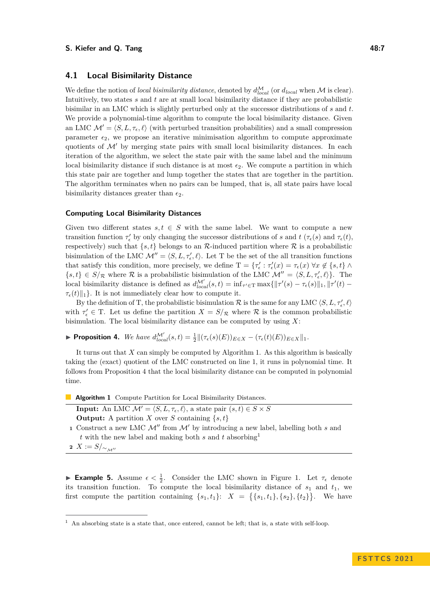#### **S.** Kiefer and Q. Tang **18:7** and  $\overline{a}$  **48:7**

#### **4.1 Local Bisimilarity Distance**

We define the notion of *local bisimilarity distance*, denoted by  $d_{local}^{\mathcal{M}}$  (or  $d_{local}$  when  $\mathcal{M}$  is clear). Intuitively, two states *s* and *t* are at small local bisimilarity distance if they are probabilistic bisimilar in an LMC which is slightly perturbed only at the successor distributions of *s* and *t*. We provide a polynomial-time algorithm to compute the local bisimilarity distance. Given an LMC  $\mathcal{M}' = \langle S, L, \tau_{\epsilon}, \ell \rangle$  (with perturbed transition probabilities) and a small compression parameter  $\epsilon_2$ , we propose an iterative minimisation algorithm to compute approximate quotients of  $\mathcal{M}'$  by merging state pairs with small local bisimilarity distances. In each iteration of the algorithm, we select the state pair with the same label and the minimum local bisimilarity distance if such distance is at most  $\epsilon_2$ . We compute a partition in which this state pair are together and lump together the states that are together in the partition. The algorithm terminates when no pairs can be lumped, that is, all state pairs have local bisimilarity distances greater than  $\epsilon_2$ .

#### **Computing Local Bisimilarity Distances**

Given two different states  $s, t \in S$  with the same label. We want to compute a new transition function  $\tau'_{\epsilon}$  by only changing the successor distributions of *s* and *t* ( $\tau_{\epsilon}(s)$ ) and  $\tau_{\epsilon}(t)$ , respectively) such that  $\{s, t\}$  belongs to an  $\mathcal{R}$ -induced partition where  $\mathcal{R}$  is a probabilistic bisimulation of the LMC  $\mathcal{M}'' = \langle S, L, \tau'_{\epsilon}, \ell \rangle$ . Let T be the set of the all transition functions that satisfy this condition, more precisely, we define  $T = \{\tau_{\epsilon}' : \tau_{\epsilon}'(x) = \tau_{\epsilon}(x) \,\forall x \notin \{s, t\} \wedge$  ${s, t} \in S/\mathcal{R}$  where  $\mathcal{R}$  is a probabilistic bisimulation of the LMC  $\mathcal{M}'' = \langle S, L, \tau'_{\epsilon}, \ell \rangle$ . The local bisimilarity distance is defined as  $d_{local}^{M'}(s,t) = \inf_{\tau' \in \mathcal{T}} \max\{||\tau'(s) - \tau_{\epsilon}(s)||_1, ||\tau'(t) - \tau_{\epsilon}(s)||$  $\tau_{\epsilon}(t)\|_{1}$ . It is not immediately clear how to compute it.

By the definition of T, the probabilistic bisimulation  $R$  is the same for any LMC  $\langle S,L,\tau'_{\epsilon},\ell\rangle$ with  $\tau_{\epsilon}' \in T$ . Let us define the partition  $X = S/\mathcal{R}$  where  $\mathcal R$  is the common probabilistic bisimulation. The local bisimilarity distance can be computed by using *X*:

<span id="page-6-1"></span>▶ **Proposition 4.** We have  $d_{local}^{\mathcal{M}'}(s,t) = \frac{1}{2} ||(\tau_{\epsilon}(s)(E))_{E \in X} - (\tau_{\epsilon}(t)(E))_{E \in X} ||_1$ .

It turns out that *X* can simply be computed by Algorithm [1.](#page-6-0) As this algorithm is basically taking the (exact) quotient of the LMC constructed on line 1, it runs in polynomial time. It follows from Proposition [4](#page-6-1) that the local bisimilarity distance can be computed in polynomial time.

**Algorithm 1** Compute Partition for Local Bisimilarity Distances.

**Input:** An LMC  $\mathcal{M}' = \langle \overline{S}, L, \tau_{\epsilon}, \ell \rangle$ , a state pair  $(s, t) \in S \times S$ **Output:** A partition *X* over *S* containing  $\{s, t\}$ 

**<sup>1</sup>** Construct a new LMC M′′ from M′ by introducing a new label, labelling both *s* and *t* with the new label and making both *s* and *t* absorbing[1](#page-6-2)

<span id="page-6-0"></span>**2**  $X := S/\sim_{M''}$ 

<span id="page-6-3"></span>**► Example 5.** Assume  $\epsilon < \frac{1}{2}$ . Consider the LMC shown in Figure [1.](#page-0-0) Let  $\tau_{\epsilon}$  denote its transition function. To compute the local bisimilarity distance of  $s_1$  and  $t_1$ , we first compute the partition containing  $\{s_1, t_1\}$ :  $X = \{\{s_1, t_1\}, \{s_2\}, \{t_2\}\}$ . We have

<span id="page-6-2"></span><sup>&</sup>lt;sup>1</sup> An absorbing state is a state that, once entered, cannot be left; that is, a state with self-loop.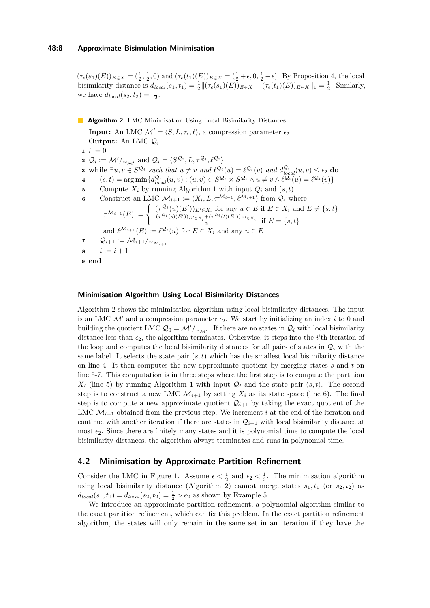#### **48:8 Approximate Bisimulation Minimisation**

 $(\tau_{\epsilon}(s_1)(E))_{E \in X} = (\frac{1}{2}, \frac{1}{2}, 0)$  and  $(\tau_{\epsilon}(t_1)(E))_{E \in X} = (\frac{1}{2} + \epsilon, 0, \frac{1}{2} - \epsilon)$ . By Proposition [4,](#page-6-1) the local bisimilarity distance is  $d_{local}(s_1, t_1) = \frac{1}{2} ||(\tau_{\epsilon}(s_1)(E))_{E \in X} - (\tau_{\epsilon}(t_1)(E))_{E \in X} ||_1 = \frac{1}{2}$ . Similarly, we have  $d_{local}(s_2, t_2) = \frac{1}{2}$ .

#### **Algorithm 2** LMC Minimisation Using Local Bisimilarity Distances.

**Input:** An LMC  $\mathcal{M}' = \langle S, L, \tau_{\epsilon}, \ell \rangle$ , a compression parameter  $\epsilon_2$ **Output:** An LMC Q*<sup>i</sup>*  $i := 0$ **2**  $Q_i := \mathcal{M}' /_{\sim_{\mathcal{M}'}}$  and  $Q_i = \langle S^{\mathcal{Q}_i}, L, \tau^{\mathcal{Q}_i}, \ell^{\mathcal{Q}_i} \rangle$ **3** while  $\exists u, v \in S^{\mathcal{Q}_i}$  such that  $u \neq v$  and  $\ell^{\mathcal{Q}_i}(u) = \ell^{\mathcal{Q}_i}(v)$  and  $d_{local}^{\mathcal{Q}_i}(u, v) \leq \epsilon_2$  do  $4 \left( (s, t) = \arg \min \{ d_{local}^{\mathcal{Q}_i}(u, v) : (u, v) \in S^{\mathcal{Q}_i} \times S^{\mathcal{Q}_i} \wedge u \neq v \wedge \ell^{\mathcal{Q}_i}(u) = \ell^{\mathcal{Q}_i}(v) \}$ **5** Compute  $X_i$  by running Algorithm [1](#page-6-0) with input  $Q_i$  and  $(s,t)$ **6** Construct an LMC  $\mathcal{M}_{i+1} := \langle X_i, L, \tau^{\mathcal{M}_{i+1}}, \ell^{\mathcal{M}_{i+1}} \rangle$  from  $\mathcal{Q}_i$  where  $\tau^{\mathcal{M}_{i+1}}(E) := \begin{cases} (\tau^{\mathcal{Q}_i}(u)(E'))_{E' \in X_i} \text{ for any } u \in E \text{ if } E \in X_i \text{ and } E \neq \{s, t\} \\ (\tau^{\mathcal{Q}_i}(s)(E'))_{E' \in X} + (\tau^{\mathcal{Q}_i}(t)(E'))_{E' \in X_i} \text{ and } E = \{s, t\} \end{cases}$  $\frac{(\tau^{\mathcal{Q}_i}(s)(E'))_{E' \in X_i} + (\tau^{\mathcal{Q}_i}(t)(E'))_{E' \in X_i}}{2}$  if  $E = \{s, t\}$ and  $\ell^{\mathcal{M}_{i+1}}(E) := \ell^{\mathcal{Q}_i}(u)$  for  $E \in X_i$  and any  $u \in E$ **7**  $Q_{i+1} := \mathcal{M}_{i+1}/_{\sim_{\mathcal{M}_{i+1}}}$ **8**  $i := i + 1$ **<sup>9</sup> end**

#### <span id="page-7-0"></span>**Minimisation Algorithm Using Local Bisimilarity Distances**

Algorithm [2](#page-7-0) shows the minimisation algorithm using local bisimilarity distances. The input is an LMC  $\mathcal{M}'$  and a compression parameter  $\epsilon_2$ . We start by initializing an index *i* to 0 and building the quotient LMC  $\mathcal{Q}_0 = \mathcal{M}'/_{\sim_{\mathcal{M}'}}$ . If there are no states in  $\mathcal{Q}_i$  with local bisimilarity distance less than  $\epsilon_2$ , the algorithm terminates. Otherwise, it steps into the *i*'th iteration of the loop and computes the local bisimilarity distances for all pairs of states in  $\mathcal{Q}_i$  with the same label. It selects the state pair  $(s, t)$  which has the smallest local bisimilarity distance on line 4. It then computes the new approximate quotient by merging states *s* and *t* on line 5-7. This computation is in three steps where the first step is to compute the partition  $X_i$  (line 5) by running Algorithm [1](#page-6-0) with input  $Q_i$  and the state pair  $(s, t)$ . The second step is to construct a new LMC  $\mathcal{M}_{i+1}$  by setting  $X_i$  as its state space (line 6). The final step is to compute a new approximate quotient  $\mathcal{Q}_{i+1}$  by taking the exact quotient of the LMC  $\mathcal{M}_{i+1}$  obtained from the previous step. We increment *i* at the end of the iteration and continue with another iteration if there are states in  $\mathcal{Q}_{i+1}$  with local bisimilarity distance at most  $\epsilon_2$ . Since there are finitely many states and it is polynomial time to compute the local bisimilarity distances, the algorithm always terminates and runs in polynomial time.

## **4.2 Minimisation by Approximate Partition Refinement**

Consider the LMC in Figure [1.](#page-0-0) Assume  $\epsilon < \frac{1}{2}$  and  $\epsilon_2 < \frac{1}{2}$ . The minimisation algorithm using local bisimilarity distance (Algorithm [2\)](#page-7-0) cannot merge states  $s_1, t_1$  (or  $s_2, t_2$ ) as  $d_{local}(s_1, t_1) = d_{local}(s_2, t_2) = \frac{1}{2} > \epsilon_2$  as shown by Example [5.](#page-6-3)

We introduce an approximate partition refinement, a polynomial algorithm similar to the exact partition refinement, which can fix this problem. In the exact partition refinement algorithm, the states will only remain in the same set in an iteration if they have the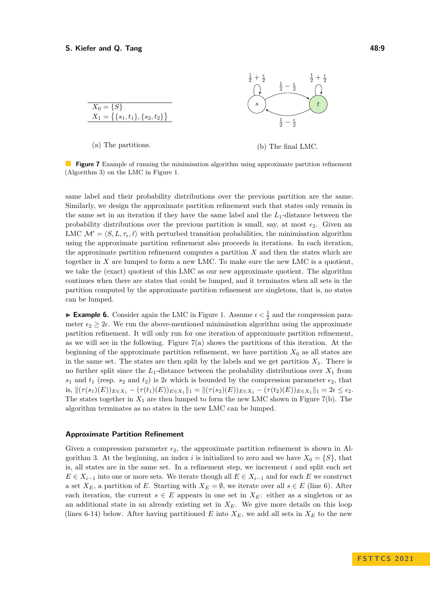<span id="page-8-0"></span>

(a) The partitions.

(b) The final LMC.

**Figure 7** Example of running the minimisation algorithm using approximate partition refinement (Algorithm [3\)](#page-9-0) on the LMC in Figure [1.](#page-0-0)

same label and their probability distributions over the previous partition are the same. Similarly, we design the approximate partition refinement such that states only remain in the same set in an iteration if they have the same label and the *L*1-distance between the probability distributions over the previous partition is small, say, at most  $\epsilon_2$ . Given an LMC  $\mathcal{M}' = \langle S, L, \tau_{\epsilon}, \ell \rangle$  with perturbed transition probabilities, the minimisation algorithm using the approximate partition refinement also proceeds in iterations. In each iteration, the approximate partition refinement computes a partition *X* and then the states which are together in *X* are lumped to form a new LMC. To make sure the new LMC is a quotient, we take the (exact) quotient of this LMC as our new approximate quotient. The algorithm continues when there are states that could be lumped, and it terminates when all sets in the partition computed by the approximate partition refinement are singletons, that is, no states can be lumped.

► **Example 6.** Consider again the LMC in Figure [1.](#page-0-0) Assume  $\epsilon < \frac{1}{2}$  and the compression parameter  $\epsilon_2 \geq 2\epsilon$ . We run the above-mentioned minimisation algorithm using the approximate partition refinement. It will only run for one iteration of approximate partition refinement, as we will see in the following. Figure  $7(a)$  shows the partitions of this iteration. At the beginning of the approximate partition refinement, we have partition  $X_0$  as all states are in the same set. The states are then split by the labels and we get partition  $X_1$ . There is no further split since the  $L_1$ -distance between the probability distributions over  $X_1$  from  $s_1$  and  $t_1$  (resp.  $s_2$  and  $t_2$ ) is  $2\epsilon$  which is bounded by the compression parameter  $\epsilon_2$ , that is,  $\|(\tau(s_1)(E))_{E\in X_1} - (\tau(t_1)(E))_{E\in X_1}\|_1 = \|(\tau(s_2)(E))_{E\in X_1} - (\tau(t_2)(E))_{E\in X_1}\|_1 = 2\epsilon \leq \epsilon_2.$ The states together in  $X_1$  are then lumped to form the new LMC shown in Figure [7\(](#page-8-0)b). The algorithm terminates as no states in the new LMC can be lumped.

#### **Approximate Partition Refinement**

Given a compression parameter  $\epsilon_2$ , the approximate partition refinement is shown in Al-gorithm [3.](#page-9-0) At the beginning, an index *i* is initialized to zero and we have  $X_0 = \{S\}$ , that is, all states are in the same set. In a refinement step, we increment *i* and split each set *E* ∈  $X_{i-1}$  into one or more sets. We iterate though all  $E \in X_{i-1}$  and for each *E* we construct a set  $X_E$ , a partition of *E*. Starting with  $X_E = \emptyset$ , we iterate over all  $s \in E$  (line 6). After each iteration, the current  $s \in E$  appears in one set in  $X_E$ : either as a singleton or as an additional state in an already existing set in *XE*. We give more details on this loop (lines 6-14) below. After having partitioned  $E$  into  $X_E$ , we add all sets in  $X_E$  to the new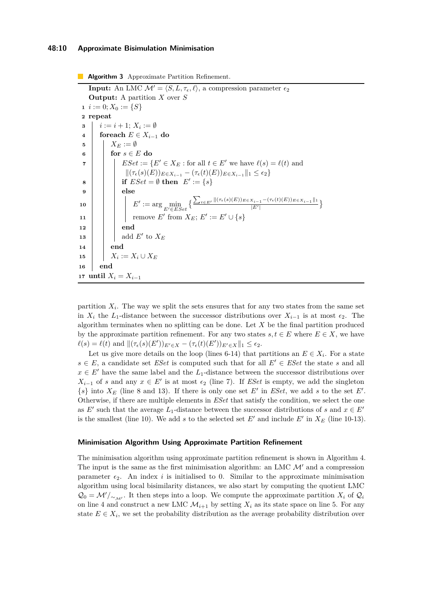#### **48:10 Approximate Bisimulation Minimisation**

**Algorithm 3** Approximate Partition Refinement. **Input:** An LMC  $\mathcal{M}' = \langle S, L, \tau_{\epsilon}, \ell \rangle$ , a compression parameter  $\epsilon_2$ **Output:** A partition *X* over *S*  $i := 0; X_0 := \{S\}$ **2 repeat 3**  $i := i + 1; X_i := \emptyset$ **<sup>4</sup> foreach** *E* ∈ *Xi*−<sup>1</sup> **do 5**  $\mid X_E := \emptyset$  $\mathbf{6}$  | for  $s \in E$  do **7 EV**  $\subseteq$  *ESet* := { $E' \in X_E$  : for all  $t \in E'$  we have  $\ell(s) = \ell(t)$  and  $\|(\tau_{\epsilon}(s)(E))_{E\in X_{i-1}} - (\tau_{\epsilon}(t)(E))_{E\in X_{i-1}}\|_1 \leq \epsilon_2\}$  $\mathbf{s}$  | | | if  $ESet = \emptyset$  then  $E' := \{s\}$ **9 else**  $\mathbf{10}$  **c**  $E' := \arg \min_{E' \in ESet} \left\{ \frac{\sum_{t \in E'} ||(\tau_{\epsilon}(s)(E))_{E \in X_{i-1}} - (\tau_{\epsilon}(t)(E))_{E \in X_{i-1}} ||_1}{|E'|} \right\}$  $\frac{|E'|}{|E'|}$ **11** | **i** remove *E'* from  $X_E$ ;  $E' := E' \cup \{s\}$ **12 end 13**  $\vert$   $\vert$  add *E'* to  $X_E$ **<sup>14</sup> end 15**  $\vert X_i := X_i \cup X_E$ **<sup>16</sup> end** 17 **until**  $X_i = X_{i-1}$ 

<span id="page-9-0"></span>partition  $X_i$ . The way we split the sets ensures that for any two states from the same set in  $X_i$  the  $L_1$ -distance between the successor distributions over  $X_{i-1}$  is at most  $\epsilon_2$ . The algorithm terminates when no splitting can be done. Let *X* be the final partition produced by the approximate partition refinement. For any two states  $s, t \in E$  where  $E \in X$ , we have  $\ell(s) = \ell(t)$  and  $\|(\tau_{\epsilon}(s)(E'))_{E' \in X} - (\tau_{\epsilon}(t)(E'))_{E' \in X}\|_1 \leq \epsilon_2$ .

Let us give more details on the loop (lines 6-14) that partitions an  $E \in X_i$ . For a state  $s \in E$ , a candidate set *ESet* is computed such that for all  $E' \in ESet$  the state *s* and all  $x \in E'$  have the same label and the  $L_1$ -distance between the successor distributions over *X*<sub>*i*−1</sub> of *s* and any  $x \in E'$  is at most  $\epsilon_2$  (line 7). If *ESet* is empty, we add the singleton  ${s}$  into  $X_E$  (line 8 and 13). If there is only one set  $E'$  in *ESet*, we add *s* to the set  $E'$ . Otherwise, if there are multiple elements in *ESet* that satisfy the condition, we select the one as  $E'$  such that the average  $L_1$ -distance between the successor distributions of *s* and  $x \in E'$ is the smallest (line 10). We add  $s$  to the selected set  $E'$  and include  $E'$  in  $X_E$  (line 10-13).

#### **Minimisation Algorithm Using Approximate Partition Refinement**

The minimisation algorithm using approximate partition refinement is shown in Algorithm [4.](#page-10-3) The input is the same as the first minimisation algorithm: an LMC  $\mathcal{M}'$  and a compression parameter  $\epsilon_2$ . An index *i* is initialised to 0. Similar to the approximate minimisation algorithm using local bisimilarity distances, we also start by computing the quotient LMC  $\mathcal{Q}_0 = \mathcal{M}'/\sim_{\mathcal{M}'}$ . It then steps into a loop. We compute the approximate partition  $X_i$  of  $\mathcal{Q}_i$ on line 4 and construct a new LMC  $\mathcal{M}_{i+1}$  by setting  $X_i$  as its state space on line 5. For any state  $E \in X_i$ , we set the probability distribution as the average probability distribution over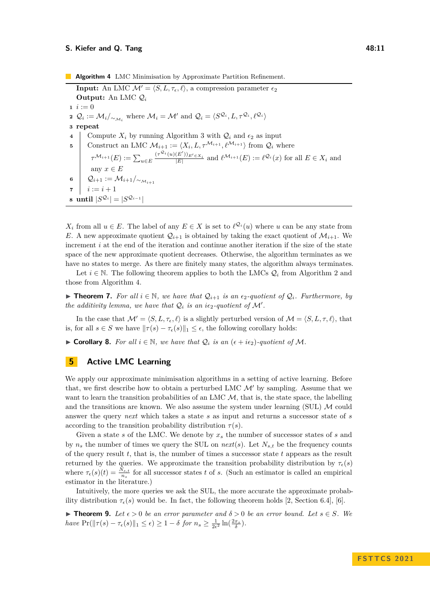#### **S.** Kiefer and Q. Tang **18:11**

**Algorithm 4** LMC Minimisation by Approximate Partition Refinement. **Input:** An LMC  $\mathcal{M}' = \langle S, L, \tau_{\epsilon}, \ell \rangle$ , a compression parameter  $\epsilon_2$ **Output:** An LMC Q*<sup>i</sup>*  $i := 0$ **2**  $Q_i := \mathcal{M}_i /_{\sim_{\mathcal{M}_i}}$  where  $\mathcal{M}_i = \mathcal{M}'$  and  $Q_i = \langle S^{\mathcal{Q}_i}, L, \tau^{\mathcal{Q}_i}, \ell^{\mathcal{Q}_i} \rangle$ **3 repeat 4** Compute  $X_i$  by running Algorithm [3](#page-9-0) with  $Q_i$  and  $\epsilon_2$  as input **5** Construct an LMC  $\mathcal{M}_{i+1} := \langle X_i, L, \tau^{\mathcal{M}_{i+1}}, \ell^{\mathcal{M}_{i+1}} \rangle$  from  $\mathcal{Q}_i$  where  $\tau^{\mathcal{M}_{i+1}}(E) := \sum_{u \in E}$  $\frac{(\tau^{\mathcal{Q}_i}(u)(E'))_{E' \in X_i}}{|E|}$  and  $\ell^{\mathcal{M}_{i+1}}(E) := \ell^{\mathcal{Q}_i}(x)$  for all  $E \in X_i$  and any  $x\in E$  $\mathfrak{g} \left| \quad \mathcal{Q}_{i+1} := \mathcal{M}_{i+1}/_{\sim_{\mathcal{M}_{i+1}}}$ **7**  $i := i + 1$  $\mathbf{s} \text{ until } |S^{\mathcal{Q}_i}| = |S^{\mathcal{Q}_{i-1}}|$ 

<span id="page-10-3"></span>*X*<sup>*i*</sup> from all  $u \in E$ . The label of any  $E \in X$  is set to  $\ell^{Q_i}(u)$  where *u* can be any state from *E*. A new approximate quotient  $\mathcal{Q}_{i+1}$  is obtained by taking the exact quotient of  $\mathcal{M}_{i+1}$ . We increment *i* at the end of the iteration and continue another iteration if the size of the state space of the new approximate quotient decreases. Otherwise, the algorithm terminates as we have no states to merge. As there are finitely many states, the algorithm always terminates.

Let  $i \in \mathbb{N}$ . The following theorem applies to both the LMCs  $\mathcal{Q}_i$  from Algorithm [2](#page-7-0) and those from Algorithm [4.](#page-10-3)

<span id="page-10-1"></span>▶ **Theorem 7.** For all  $i \in \mathbb{N}$ , we have that  $\mathcal{Q}_{i+1}$  is an  $\epsilon_2$ -quotient of  $\mathcal{Q}_i$ *.* Furthermore, by *the additivity lemma, we have that*  $Q_i$  *is an i* $\epsilon_2$ *-quotient of*  $\mathcal{M}'$ *.* 

In the case that  $\mathcal{M}' = \langle S, L, \tau_{\epsilon}, \ell \rangle$  is a slightly perturbed version of  $\mathcal{M} = \langle S, L, \tau, \ell \rangle$ , that is, for all  $s \in S$  we have  $||\tau(s) - \tau_{\epsilon}(s)||_1 \leq \epsilon$ , the following corollary holds:

<span id="page-10-2"></span>▶ **Corollary 8.** For all  $i \in \mathbb{N}$ , we have that  $Q_i$  is an  $(\epsilon + i\epsilon_2)$ -quotient of M.

## <span id="page-10-0"></span>**5 Active LMC Learning**

We apply our approximate minimisation algorithms in a setting of active learning. Before that, we first describe how to obtain a perturbed LMC  $\mathcal{M}'$  by sampling. Assume that we want to learn the transition probabilities of an LMC  $M$ , that is, the state space, the labelling and the transitions are known. We also assume the system under learning (SUL)  $\mathcal M$  could answer the query *next* which takes a state *s* as input and returns a successor state of *s* according to the transition probability distribution  $\tau(s)$ .

Given a state *s* of the LMC. We denote by *x<sup>s</sup>* the number of successor states of *s* and by *n<sup>s</sup>* the number of times we query the SUL on *next*(*s*). Let *Ns,t* be the frequency counts of the query result *t*, that is, the number of times a successor state *t* appears as the result returned by the queries. We approximate the transition probability distribution by  $\tau_{\epsilon}(s)$ where  $\tau_{\epsilon}(s)(t) = \frac{N_{s,t}}{n_s}$  for all successor states *t* of *s*. (Such an estimator is called an empirical estimator in the literature.)

Intuitively, the more queries we ask the SUL, the more accurate the approximate probability distribution  $\tau_{\epsilon}(s)$  would be. In fact, the following theorem holds [\[2,](#page-14-9) Section 6.4], [\[6\]](#page-14-10).

<span id="page-10-4"></span>▶ **Theorem 9.** Let  $\epsilon > 0$  be an error parameter and  $\delta > 0$  be an error bound. Let  $s \in S$ . We *have*  $Pr(\|\tau(s) - \tau_{\epsilon}(s)\|_1 \leq \epsilon) \geq 1 - \delta$  *for*  $n_s \geq \frac{1}{2\epsilon^2} \ln(\frac{2x_s}{\delta}).$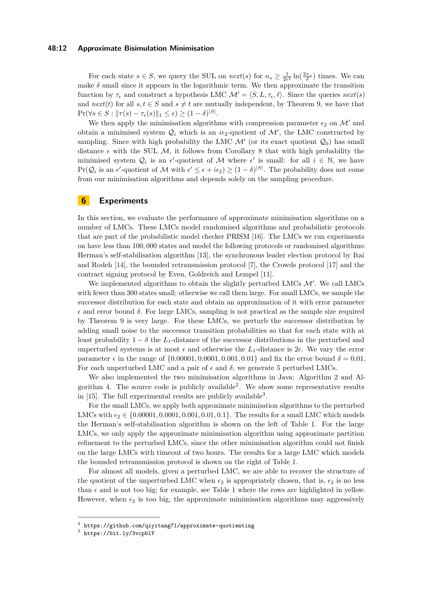#### **48:12 Approximate Bisimulation Minimisation**

For each state  $s \in S$ , we query the SUL on  $next(s)$  for  $n_s \geq \frac{1}{2\epsilon^2} \ln(\frac{2x_s}{\delta})$  times. We can make  $\delta$  small since it appears in the logarithmic term. We then approximate the transition function by  $\tau_{\epsilon}$  and construct a hypothesis LMC  $\mathcal{M}' = \langle S, L, \tau_{\epsilon}, \ell \rangle$ . Since the queries  $next(s)$ and  $next(t)$  for all  $s, t \in S$  and  $s \neq t$  are mutually independent, by Theorem [9,](#page-10-4) we have that  $\Pr(\forall s \in S : ||\tau(s) - \tau_{\epsilon}(s)||_1 \leq \epsilon) \geq (1 - \delta)^{|S|}.$ 

We then apply the minimisation algorithms with compression parameter  $\epsilon_2$  on M' and obtain a minimised system  $\mathcal{Q}_i$  which is an  $i\epsilon_2$ -quotient of  $\mathcal{M}'$ , the LMC constructed by sampling. Since with high probability the LMC  $\mathcal{M}'$  (or its exact quotient  $\mathcal{Q}_0$ ) has small distance  $\epsilon$  with the SUL M, it follows from Corollary [8](#page-10-2) that with high probability the minimised system  $Q_i$  is an  $\epsilon'$ -quotient of M where  $\epsilon'$  is small: for all  $i \in \mathbb{N}$ , we have  $Pr(Q_i \text{ is an } \epsilon' \text{-quotient of } \mathcal{M} \text{ with } \epsilon' \leq \epsilon + i\epsilon_2) \geq (1-\delta)^{|S|}$ . The probability does not come from our minimisation algorithms and depends solely on the sampling procedure.

## <span id="page-11-0"></span>**6 Experiments**

In this section, we evaluate the performance of approximate minimisation algorithms on a number of LMCs. These LMCs model randomised algorithms and probabilistic protocols that are part of the probabilistic model checker PRISM [\[16\]](#page-15-1). The LMCs we run experiments on have less than 100*,* 000 states and model the following protocols or randomised algorithms: Herman's self-stabilisation algorithm [\[13\]](#page-14-11), the synchronous leader election protocol by Itai and Rodeh [\[14\]](#page-14-12), the bounded retransmission protocol [\[7\]](#page-14-13), the Crowds protocol [\[17\]](#page-15-3) and the contract signing protocol by Even, Goldreich and Lempel [\[11\]](#page-14-14).

We implemented algorithms to obtain the slightly perturbed LMCs  $\mathcal{M}'$ . We call LMCs with fewer than 300 states small; otherwise we call them large. For small LMCs, we sample the successor distribution for each state and obtain an approximation of it with error parameter  $\epsilon$  and error bound  $\delta$ . For large LMCs, sampling is not practical as the sample size required by Theorem [9](#page-10-4) is very large. For these LMCs, we perturb the successor distribution by adding small noise to the successor transition probabilities so that for each state with at least probability  $1 - \delta$  the *L*<sub>1</sub>-distance of the successor distributions in the perturbed and unperturbed systems is at most  $\epsilon$  and otherwise the  $L_1$ -distance is  $2\epsilon$ . We vary the error parameter  $\epsilon$  in the range of  $\{0.00001, 0.0001, 0.001, 0.01\}$  and fix the error bound  $\delta = 0.01$ . For each unperturbed LMC and a pair of  $\epsilon$  and  $\delta$ , we generate 5 perturbed LMCs.

We also implemented the two minimisation algorithms in Java: Algorithm [2](#page-7-0) and Algorithm [4.](#page-10-3) The source code is publicly available[2](#page-11-1) . We show some representative results in  $[15]$ . The full experimental results are publicly available<sup>[3](#page-11-2)</sup>.

For the small LMCs, we apply both approximate minimisation algorithms to the perturbed LMCs with  $\epsilon_2 \in \{0.00001, 0.0001, 0.001, 0.01, 0.1\}$ . The results for a small LMC which models the Herman's self-stabilisation algorithm is shown on the left of Table [1.](#page-12-0) For the large LMCs, we only apply the approximate minimisation algorithm using approximate partition refinement to the perturbed LMCs, since the other minimisation algorithm could not finish on the large LMCs with timeout of two hours. The results for a large LMC which models the bounded retransmission protocol is shown on the right of Table [1.](#page-12-0)

For almost all models, given a perturbed LMC, we are able to recover the structure of the quotient of the unperturbed LMC when  $\epsilon_2$  is appropriately chosen, that is,  $\epsilon_2$  is no less than  $\epsilon$  and is not too big; for example, see Table [1](#page-12-0) where the rows are highlighted in yellow. However, when  $\epsilon_2$  is too big, the approximate minimisation algorithms may aggressively

<span id="page-11-1"></span><sup>2</sup> <https://github.com/qiyitang71/approximate-quotienting>

<span id="page-11-2"></span><sup>3</sup> <https://bit.ly/3vcpblY>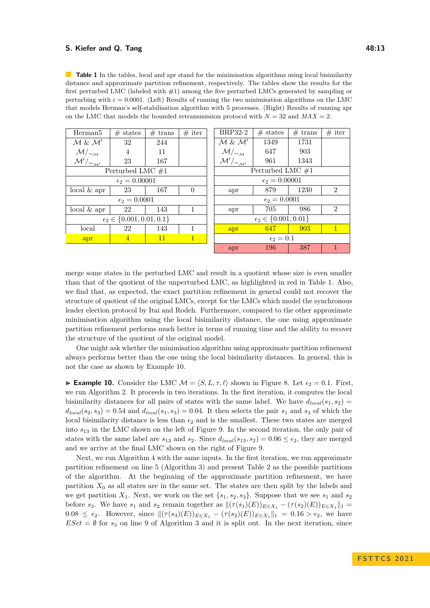#### **S. Kiefer and Q. Tang 48:13**

<span id="page-12-0"></span>**Table 1** In the tables, local and apr stand for the minimisation algorithms using local bisimilarity distance and approximate partition refinement, respectively. The tables show the results for the first perturbed LMC (labeled with #1) among the five perturbed LMCs generated by sampling or perturbing with  $\epsilon = 0.0001$ . (Left) Results of running the two minimisation algorithms on the LMC that models Herman's self-stabilisation algorithm with 5 processes. (Right) Results of running apr on the LMC that models the bounded retransmission protocol with  $N = 32$  and  $MAX = 2$ .

| Herman <sub>5</sub>                   | $#$ states     | $#$ trans | $#$ iter     | BRP32-2                             | $#$ states | $#$ trans | $#$ iter       |
|---------------------------------------|----------------|-----------|--------------|-------------------------------------|------------|-----------|----------------|
| $M \& M'$                             | 32             | 244       |              | $\mathcal{M} \& \mathcal{M}'$       | 1349       | 1731      |                |
| $\mathcal{M}/_{\sim_{\mathcal{M}}}$   | $\overline{4}$ | 11        |              | $\mathcal{M}/_{\sim_{\mathcal{M}}}$ | 647        | 903       |                |
| $\mathcal{M}'/\sim_{\mathcal{M}'}$    | 23             | 167       |              | $\mathcal{M}'/\sim_{\mathcal{M}'}$  | 961        | 1343      |                |
| Perturbed LMC $#1$                    |                |           |              | Perturbed LMC $\#1$                 |            |           |                |
| $\epsilon_2 = 0.00001$                |                |           |              | $\epsilon_2 = 0.00001$              |            |           |                |
| $local \& apr$                        | 23             | 167       | $\Omega$     | apr                                 | 879        | 1230      | $\mathfrak{D}$ |
| $\epsilon_2=0.0001$                   |                |           |              | $\epsilon_2=0.0001$                 |            |           |                |
| $local \& apr$                        | 22             | 143       | 1            | apr                                 | 705        | 986       | $\mathfrak{D}$ |
| $\epsilon_2 \in \{0.001, 0.01, 0.1\}$ |                |           |              | $\epsilon_2 \in \{0.001, 0.01\}$    |            |           |                |
| local                                 | 22             | 143       |              | apr                                 | 647        | 903       | $\mathbf{1}$   |
| apr                                   | $\overline{4}$ | 11        | $\mathbf{1}$ | $\epsilon_2=0.1$                    |            |           |                |
|                                       |                |           |              | apr                                 | 196        | 387       | 1              |

merge some states in the perturbed LMC and result in a quotient whose size is even smaller than that of the quotient of the unperturbed LMC, as highlighted in red in Table [1.](#page-12-0) Also, we find that, as expected, the exact partition refinement in general could not recover the structure of quotient of the original LMCs, except for the LMCs which model the synchronous leader election protocol by Itai and Rodeh. Furthermore, compared to the other approximate minimisation algorithm using the local bisimilarity distance, the one using approximate partition refinement performs much better in terms of running time and the ability to recover the structure of the quotient of the original model.

One might ask whether the minimisation algorithm using approximate partition refinement always performs better than the one using the local bisimilarity distances. In general, this is not the case as shown by Example [10.](#page-12-1)

<span id="page-12-1"></span>**► Example 10.** Consider the LMC  $\mathcal{M} = \langle S, L, \tau, \ell \rangle$  shown in Figure [8.](#page-13-1) Let  $\epsilon_2 = 0.1$ . First, we run Algorithm [2.](#page-7-0) It proceeds in two iterations. In the first iteration, it computes the local bisimilarity distances for all pairs of states with the same label. We have  $d_{local}(s_1, s_2)$  $d_{local}(s_2, s_3) = 0.54$  and  $d_{local}(s_1, s_3) = 0.04$ . It then selects the pair  $s_1$  and  $s_3$  of which the local bisimilarity distance is less than  $\epsilon_2$  and is the smallest. These two states are merged into *s*<sup>13</sup> in the LMC shown on the left of Figure [9.](#page-13-2) In the second iteration, the only pair of states with the same label are  $s_{13}$  and  $s_2$ . Since  $d_{local}(s_{13}, s_2) = 0.06 \leq \epsilon_2$ , they are merged and we arrive at the final LMC shown on the right of Figure [9.](#page-13-2)

Next, we run Algorithm [4](#page-10-3) with the same inputs. In the first iteration, we run approximate partition refinement on line 5 (Algorithm [3\)](#page-9-0) and present Table [2](#page-13-3) as the possible partitions of the algorithm. At the beginning of the approximate partition refinement, we have partition  $X_0$  as all states are in the same set. The states are then split by the labels and we get partition  $X_1$ . Next, we work on the set  $\{s_1, s_2, s_3\}$ . Suppose that we see  $s_1$  and  $s_2$ before *s*<sub>3</sub>. We have *s*<sub>1</sub> and *s*<sub>2</sub> remain together as  $\|(\tau(s_1)(E))_{E \in X_1} - (\tau(s_2)(E))_{E \in X_1}\|_1 =$ 0.08 ≤  $\epsilon_2$ . However, since  $\|(\tau(s_3)(E))_{E\in X_1} - (\tau(s_2)(E))_{E\in X_1}\|_1 = 0.16 > \epsilon_2$ , we have  $ESet = \emptyset$  for  $s_3$  on line 9 of Algorithm [3](#page-9-0) and it is split out. In the next iteration, since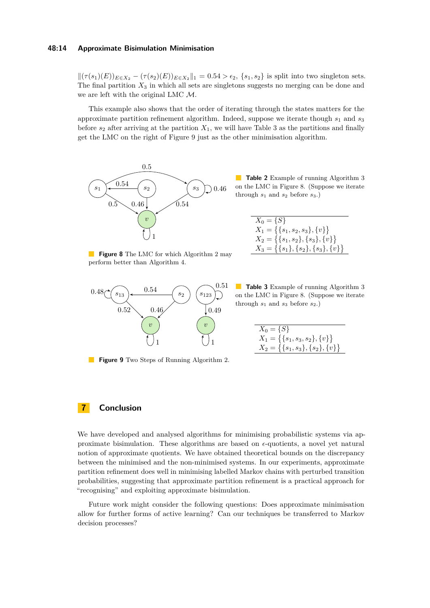#### **48:14 Approximate Bisimulation Minimisation**

 $\| (τ(s<sub>1</sub>)(E))_{E \in X_2} − (τ(s<sub>2</sub>)(E))_{E \in X_2} \|_1 = 0.54 > ε<sub>2</sub>, \{s<sub>1</sub>, s<sub>2</sub>\}$  is split into two singleton sets. The final partition  $X_3$  in which all sets are singletons suggests no merging can be done and we are left with the original LMC M.

This example also shows that the order of iterating through the states matters for the approximate partition refinement algorithm. Indeed, suppose we iterate though *s*<sup>1</sup> and *s*<sup>3</sup> before  $s_2$  after arriving at the partition  $X_1$ , we will have Table [3](#page-13-4) as the partitions and finally get the LMC on the right of Figure [9](#page-13-2) just as the other minimisation algorithm.



<span id="page-13-3"></span>**Table 2** Example of running Algorithm [3](#page-9-0) on the LMC in Figure [8.](#page-13-1) (Suppose we iterate through  $s_1$  and  $s_2$  before  $s_3$ .)

| $X_0 = \{S\}$                                 |
|-----------------------------------------------|
| $X_1 = \{\{s_1, s_2, s_3\}, \{v\}\}\$         |
| $X_2 = \{\{s_1, s_2\}, \{s_3\}, \{v\}\}\$     |
| $X_3 = \{\{s_1\}, \{s_2\}, \{s_3\}, \{v\}\}\$ |

<span id="page-13-1"></span>**Figure 8** The LMC for which Algorithm [2](#page-7-0) may perform better than Algorithm [4.](#page-10-3)



<span id="page-13-2"></span>**Figure 9** Two Steps of Running Algorithm [2.](#page-7-0)

<span id="page-13-4"></span>**Table [3](#page-9-0)** Example of running Algorithm 3 on the LMC in Figure [8.](#page-13-1) (Suppose we iterate through  $s_1$  and  $s_3$  before  $s_2$ .)

| $X_0 = \{S\}$                             |
|-------------------------------------------|
| $X_1 = \{\{s_1, s_3, s_2\}, \{v\}\}\$     |
| $X_2 = \{\{s_1, s_3\}, \{s_2\}, \{v\}\}\$ |

# <span id="page-13-0"></span>**7 Conclusion**

We have developed and analysed algorithms for minimising probabilistic systems via approximate bisimulation. These algorithms are based on *ϵ*-quotients, a novel yet natural notion of approximate quotients. We have obtained theoretical bounds on the discrepancy between the minimised and the non-minimised systems. In our experiments, approximate partition refinement does well in minimising labelled Markov chains with perturbed transition probabilities, suggesting that approximate partition refinement is a practical approach for "recognising" and exploiting approximate bisimulation.

Future work might consider the following questions: Does approximate minimisation allow for further forms of active learning? Can our techniques be transferred to Markov decision processes?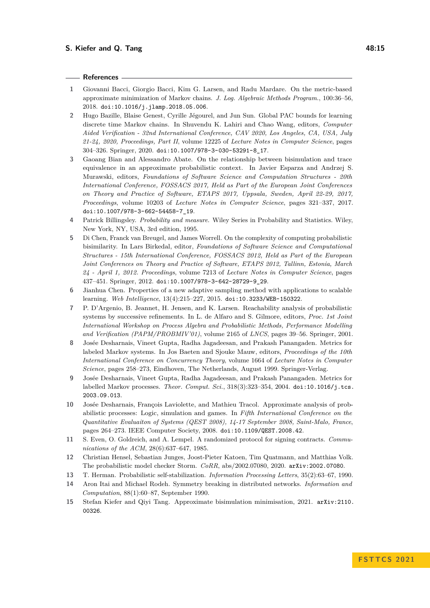#### **S.** Kiefer and Q. Tang **18:15**

#### **References**

- <span id="page-14-6"></span>**1** Giovanni Bacci, Giorgio Bacci, Kim G. Larsen, and Radu Mardare. On the metric-based approximate minimization of Markov chains. *J. Log. Algebraic Methods Program.*, 100:36–56, 2018. [doi:10.1016/j.jlamp.2018.05.006](https://doi.org/10.1016/j.jlamp.2018.05.006).
- <span id="page-14-9"></span>**2** Hugo Bazille, Blaise Genest, Cyrille Jégourel, and Jun Sun. Global PAC bounds for learning discrete time Markov chains. In Shuvendu K. Lahiri and Chao Wang, editors, *Computer Aided Verification - 32nd International Conference, CAV 2020, Los Angeles, CA, USA, July 21-24, 2020, Proceedings, Part II*, volume 12225 of *Lecture Notes in Computer Science*, pages 304–326. Springer, 2020. [doi:10.1007/978-3-030-53291-8\\_17](https://doi.org/10.1007/978-3-030-53291-8_17).
- <span id="page-14-7"></span>**3** Gaoang Bian and Alessandro Abate. On the relationship between bisimulation and trace equivalence in an approximate probabilistic context. In Javier Esparza and Andrzej S. Murawski, editors, *Foundations of Software Science and Computation Structures - 20th International Conference, FOSSACS 2017, Held as Part of the European Joint Conferences on Theory and Practice of Software, ETAPS 2017, Uppsala, Sweden, April 22-29, 2017, Proceedings*, volume 10203 of *Lecture Notes in Computer Science*, pages 321–337, 2017. [doi:10.1007/978-3-662-54458-7\\_19](https://doi.org/10.1007/978-3-662-54458-7_19).
- <span id="page-14-8"></span>**4** Patrick Billingsley. *Probability and measure*. Wiley Series in Probability and Statistics. Wiley, New York, NY, USA, 3rd edition, 1995.
- <span id="page-14-4"></span>**5** Di Chen, Franck van Breugel, and James Worrell. On the complexity of computing probabilistic bisimilarity. In Lars Birkedal, editor, *Foundations of Software Science and Computational Structures - 15th International Conference, FOSSACS 2012, Held as Part of the European Joint Conferences on Theory and Practice of Software, ETAPS 2012, Tallinn, Estonia, March 24 - April 1, 2012. Proceedings*, volume 7213 of *Lecture Notes in Computer Science*, pages 437–451. Springer, 2012. [doi:10.1007/978-3-642-28729-9\\_29](https://doi.org/10.1007/978-3-642-28729-9_29).
- <span id="page-14-10"></span>**6** Jianhua Chen. Properties of a new adaptive sampling method with applications to scalable learning. *Web Intelligence*, 13(4):215–227, 2015. [doi:10.3233/WEB-150322](https://doi.org/10.3233/WEB-150322).
- <span id="page-14-13"></span>**7** P. D'Argenio, B. Jeannet, H. Jensen, and K. Larsen. Reachability analysis of probabilistic systems by successive refinements. In L. de Alfaro and S. Gilmore, editors, *Proc. 1st Joint International Workshop on Process Algebra and Probabilistic Methods, Performance Modelling and Verification (PAPM/PROBMIV'01)*, volume 2165 of *LNCS*, pages 39–56. Springer, 2001.
- <span id="page-14-2"></span>**8** Josée Desharnais, Vineet Gupta, Radha Jagadeesan, and Prakash Panangaden. Metrics for labeled Markov systems. In Jos Baeten and Sjouke Mauw, editors, *Proceedings of the 10th International Conference on Concurrency Theory*, volume 1664 of *Lecture Notes in Computer Science*, pages 258–273, Eindhoven, The Netherlands, August 1999. Springer-Verlag.
- <span id="page-14-3"></span>**9** Josée Desharnais, Vineet Gupta, Radha Jagadeesan, and Prakash Panangaden. Metrics for labelled Markov processes. *Theor. Comput. Sci.*, 318(3):323–354, 2004. [doi:10.1016/j.tcs.](https://doi.org/10.1016/j.tcs.2003.09.013) [2003.09.013](https://doi.org/10.1016/j.tcs.2003.09.013).
- <span id="page-14-5"></span>**10** Josée Desharnais, François Laviolette, and Mathieu Tracol. Approximate analysis of probabilistic processes: Logic, simulation and games. In *Fifth International Conference on the Quantitative Evaluaiton of Systems (QEST 2008), 14-17 September 2008, Saint-Malo, France*, pages 264–273. IEEE Computer Society, 2008. [doi:10.1109/QEST.2008.42](https://doi.org/10.1109/QEST.2008.42).
- <span id="page-14-14"></span>**11** S. Even, O. Goldreich, and A. Lempel. A randomized protocol for signing contracts. *Communications of the ACM*, 28(6):637–647, 1985.
- <span id="page-14-1"></span>**12** Christian Hensel, Sebastian Junges, Joost-Pieter Katoen, Tim Quatmann, and Matthias Volk. The probabilistic model checker Storm. *CoRR*, abs/2002.07080, 2020. [arXiv:2002.07080](http://arxiv.org/abs/2002.07080).
- <span id="page-14-11"></span>**13** T. Herman. Probabilistic self-stabilization. *Information Processing Letters*, 35(2):63–67, 1990.
- <span id="page-14-12"></span>**14** Aron Itai and Michael Rodeh. Symmetry breaking in distributed networks. *Information and Computation*, 88(1):60–87, September 1990.
- <span id="page-14-0"></span>**15** Stefan Kiefer and Qiyi Tang. Approximate bisimulation minimisation, 2021. [arXiv:2110.](http://arxiv.org/abs/2110.00326) [00326](http://arxiv.org/abs/2110.00326).